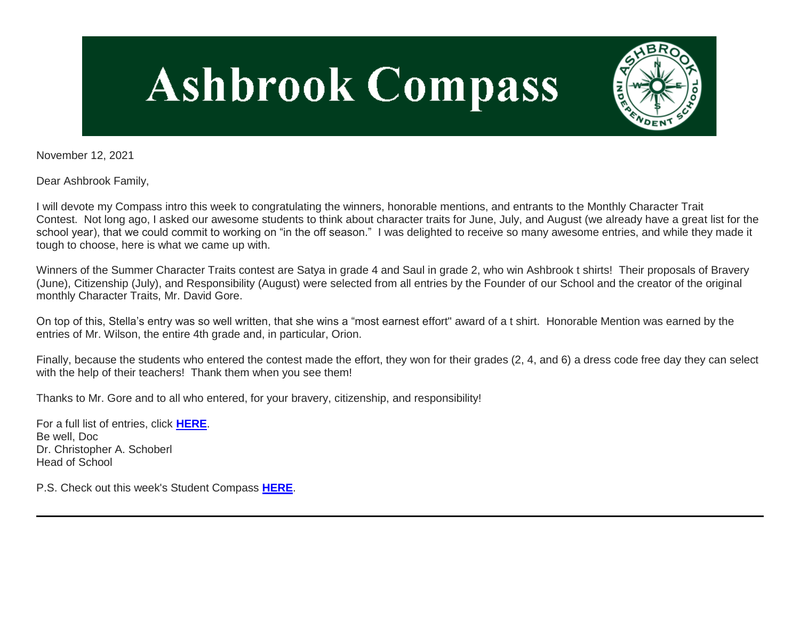# **Ashbrook Compass**



November 12, 2021

Dear Ashbrook Family,

I will devote my Compass intro this week to congratulating the winners, honorable mentions, and entrants to the Monthly Character Trait Contest. Not long ago, I asked our awesome students to think about character traits for June, July, and August (we already have a great list for the school year), that we could commit to working on "in the off season." I was delighted to receive so many awesome entries, and while they made it tough to choose, here is what we came up with.

Winners of the Summer Character Traits contest are Satya in grade 4 and Saul in grade 2, who win Ashbrook t shirts! Their proposals of Bravery (June), Citizenship (July), and Responsibility (August) were selected from all entries by the Founder of our School and the creator of the original monthly Character Traits, Mr. David Gore.

On top of this, Stella's entry was so well written, that she wins a "most earnest effort" award of a t shirt. Honorable Mention was earned by the entries of Mr. Wilson, the entire 4th grade and, in particular, Orion.

Finally, because the students who entered the contest made the effort, they won for their grades (2, 4, and 6) a dress code free day they can select with the help of their teachers! Thank them when you see them!

Thanks to Mr. Gore and to all who entered, for your bravery, citizenship, and responsibility!

For a full list of entries, click **[HERE](http://link.mystudentsprogress.com/ls/click?upn=VpBe6Z9t6RkEC4qAoQCerkRqVNRJCi4SE2bZPjoSvlzapnyKZsdsmE3Lw7fKtbNsVMidgJQnPtu43gOPulfUiltHkr0tkoKhD-2FcCLFxmhx5gW3-2BKWACB1CE-2F2n7-2Fsk8YXnep6MkbYeSO18BJ5ojNNQ-3D-3DTVio_1PndbFfBoQGSZbxwXHHEexw3B2F0fG-2BUmuXm6a-2BX-2Bztwvq9teoiT2qaQbXJuHS0LxW8-2Ff4vQxyh0oTwE0cywRy4TQPYGFVk8yJm7gFpd-2FOkNWF9CzHScqEmsc0S99tIS7IP9eqNjzTcYWPlnoJYmEm6msAfoTVICYKqyYzVltcB6XsdyDX7EsCNpeLQr-2BoWzgJQtQd8-2B8DKGvp4rTsZxKimPCCO-2FjopUDfT5o5i8bQvsWvQDXgfTR8Eyxr2HhjcPtVc-2Bi2pOl3imu6p8sEKyCAQEvNt8bryM6RtSoWlJfkVxmlp15UkgVTgQbduD6CgJ16t-2FGhj82IwusGFAPPIQ6Eud2FwFehpCkVXt4oshyoWvRTQcqUfONxzYgV-2Bis7AZk8TZJAESHl176CbqM-2FxCbgbWUBvhPTUhbbPtNS1GMrKKEEdrRC-2FZSLUvfWhnHdJk)**. Be well, Doc Dr. Christopher A. Schoberl Head of School

P.S. Check out this week's Student Compass **[HERE](http://link.mystudentsprogress.com/ls/click?upn=VpBe6Z9t6RkEC4qAoQCertKzhjEDinKc0CfI3IvbCQcaNbzcjbXRSINmRMk4o3RTMhHg-2Bi8xP6zJGuzk7Mr400NB3w7wYsD-2FpfBmfDQaKhRqeP33WjJrfuAlke3AYNFScIh4_1PndbFfBoQGSZbxwXHHEexw3B2F0fG-2BUmuXm6a-2BX-2Bztwvq9teoiT2qaQbXJuHS0LxW8-2Ff4vQxyh0oTwE0cywR5DNMNpdFPn1WedHJFwPGHUjfWbslOdbSEqs00ktfDs4mMGwJuEr7i5RNhm9iiFTg1Rga-2B4Y3LKjDykU3sGnWDgN9VOcR-2Fjg-2FbyMuePARtza5ooGQ9sJLs50MlHoBYYwvy31xlb1Z7nZ7Ui-2BaiFiubRMcQ6IWSmXsBtEVy7-2Bdk0WETrX5WtUOC5i40-2BlJT2QIewUtCdTBA0PkXsvQjEA32Em3TbzQdqZ37CkIhI3Xhu87tZb4qtquAa8qwKNAvO2YFWxhYO-2FbhIPBaV54kMA78bnZdnGlFPd9-2BTq6h-2FoXt5co24dIKRglJog1bXrS4RCH499exiwQP4By1lUw7qMfxU8AjEz2zeyOFbWNkT7rB8g)**.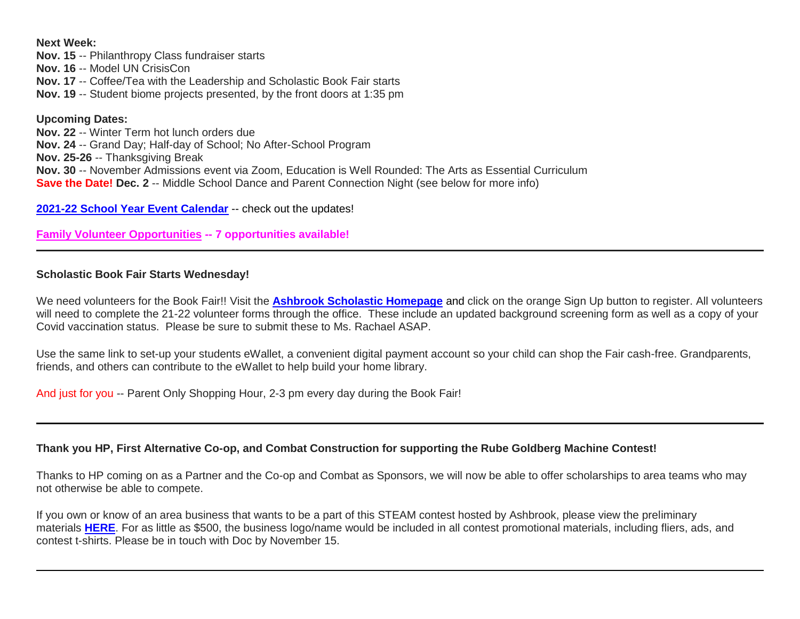**Next Week:**

**Nov. 15** -- Philanthropy Class fundraiser starts **Nov. 16** -- Model UN CrisisCon **Nov. 17** -- Coffee/Tea with the Leadership and Scholastic Book Fair starts **Nov. 19** -- Student biome projects presented, by the front doors at 1:35 pm **Upcoming Dates: Nov. 22** -- Winter Term hot lunch orders due **Nov. 24** -- Grand Day; Half-day of School; No After-School Program **Nov. 25-26** -- Thanksgiving Break **Nov. 30** -- November Admissions event via Zoom, Education is Well Rounded: The Arts as Essential Curriculum

**Save the Date! Dec. 2** -- Middle School Dance and Parent Connection Night (see below for more info)

**[2021-22 School Year Event Calendar](http://link.mystudentsprogress.com/ls/click?upn=t3AI3kjK1Pyk9qPfHnOahelBVVSIlRAa3GeSLMbkINmgHr3guxrPuqfp-2Bh-2FJW4nCZ4g8Gi3XkGXC-2FKATZbsSvlLtGaxynoxi8rg7wuoRjJ9ogb5HbX999Eip-2FZE6wLdBt-2FZXHJBS6zquMLtzN9wyAf-2BwWQPV3rI3lDDknuQ1JHMBzJ8gUYT-2F7YzNEwZY9IsL01sHprQ-2FIDOi-2FxvxQxcWetx3uPiVsOO-2BTqPctwW7ytf9RkxC1x3UjTIEBtRaqxRocHrr-2BmciBR4-2BJ-2F9FRK9RIbCVijz3zpNIIcd4PIsUMddSSVNBf6Erlmv-2BHBcLMpY-2BXATDQ1ruaOReFDZmWYSBv8U-2FG-2FKOr0yEkAwqSdMzdcQ3gq4Z79RZNOTZP4nGap5-2B4nzc4nIf29OyD3NhvJHQaLkc85sE-2FfYbPaGyyk6H2FOzJRYThJmT37US6LpTrGNlh9HxVTLYe1LpjcNTBXNJsSKlp-2BAa-2BVuGTdE8v33fTt9-2BgR-2BE9tSlDPzhNHxWPZ2RZ535aLRz3SoCCiPZR3EABfh4FMKDRC4z2q-2Bvjvbtim7SOD4kDD2r5XYSDBe4a3bcI5fNds6iRAQWmj3uDnwn3-2B3tKuGNT1JKaRpJXKTgGLzWZLAnNUo4fvdQC77H83vaK-2BM8PCeLuljt-2FRAsnx0cP-2FGdRouESOyMOB5ORkT-2BH-2Bkw4hRRiiTCpe61BsZqpA-2BuMoNl_1PndbFfBoQGSZbxwXHHEexw3B2F0fG-2BUmuXm6a-2BX-2Bztwvq9teoiT2qaQbXJuHS0LxW8-2Ff4vQxyh0oTwE0cywR9QzFNYS6zInXnOkhxWIGxAYH55Ym3fhIs9cVPbXdDJHOXHdBV4WjmqM3eSM2inR7bxo8yzGCWp5oK8eGpaXx6TrqzjTs-2F2e7y3AMij-2BF0W1Gp-2FKjuPFkD8uR4dlXyoaSOEKZMGKViS9Jt7f-2FUcPCdwp7F2kdS5zwzav-2B4M5UR2Mv96fRWhtcpsavcX9Kul4LtaQ4SHn-2BxvaIbt1d0s8W0qOuchfRfXvyQYg17gVeZKJyqYhpeHvt-2Fa5L4MMFnuKggQYB88Zx2FV0NZkly5f2PlxfPVukELYdfaxCyXLUQgz1-2FTuS9rIyhLszRm5YZLik73Om8cVHLgE1T9RnZq4L3buxEtsa-2FwSuHYPQDG6Rn-2FB)** -- check out the updates!

**[Family Volunteer Opportunities](http://link.mystudentsprogress.com/ls/click?upn=VpBe6Z9t6RkEC4qAoQCerkRqVNRJCi4SE2bZPjoSvlxSlLFpfnUYhuutAutUGnBh84nj-2BJvhJlx1K1dJMDDqBY1qLZ1O0nCcHebienBZj-2BKxsXBin-2FugM50Q-2FqN8cLG3Urd1ZQzGcMWtkFleXRzacA-3D-3DCRRB_1PndbFfBoQGSZbxwXHHEexw3B2F0fG-2BUmuXm6a-2BX-2Bztwvq9teoiT2qaQbXJuHS0LxW8-2Ff4vQxyh0oTwE0cywR4V8gp7dWYllOgPm5db0-2BgqvtBYcpIawDbiDDECp-2FMOMMUTukW-2FI1t5wLntGcpyzKlf9PxvzW6A-2F76AMHjV844JWG2FflCh54qbR18R-2FMM3UAnjVBqnvEeruH-2F6-2BiowBvKUJQu3ohFEqqIwlCY8o4B44Lq19c-2FkAWtaQQB9NOE2EP1i2kGxsbdOoM-2Fyc9yWf8k3weC0qTgUeFEcy8pLy-2B5uIdAct2X7YRJYVIWTCZaQTqjc-2BsjPfIqE8ewYejAP-2FxpXzpG76SAlwx8DoKyBMKMKGC43g4U-2BTqFn4sPwfrUyJFr26oADcsrMt-2FQzfIVFq1FOopLtfH0gg5NTDANFKJiWlLXzl7pKZCtps-2FhtaUsxk) -- 7 opportunities available!**

# **Scholastic Book Fair Starts Wednesday!**

We need volunteers for the Book Fair!! Visit the **[Ashbrook Scholastic Homepage](http://link.mystudentsprogress.com/ls/click?upn=qkro44VJaETWQ07zA-2B-2FiEyVSGpsWQ8geVbH99hO8OwtjFmOHR3K-2Bi11CFc7cHeHDldU8A-2BWXehx3H8WaWn8vpJRmsc4hSjy9qmj-2B3C2NoiPUO2IWAOL7M2UBBl-2BO5C6nDlLI2dlxNtFj9j-2FvB3phsw-3D-3DfDX4_1PndbFfBoQGSZbxwXHHEexw3B2F0fG-2BUmuXm6a-2BX-2Bztwvq9teoiT2qaQbXJuHS0LxW8-2Ff4vQxyh0oTwE0cywR0amskSFkIXq74wwwLwp6iWgbA2clIBBUYOv04v7ulbhYCZXrBW-2BISoy81-2B8CPXwXO7E7PPZN0mOdTJ-2FnPKdyUZQSl3snNMvwid6DhrsIMR-2FAm-2FLuemsvma0Z6IHw-2FeFYOocvDxByMaHJQRJiAtKyUBvU1w-2FfMPgb-2F8gJr7ltBzlb1xK5FlCdLsHztGVdGuyzbEAWuTsCo-2FaNHvYnNOKHwUsYJCtlLGRRVQoE1kKvuEoFESJvF330KJGLJ-2BPx-2BC0PWwnSqhSsgzVkkip6rGnczwQ6ydTToA45Lufssx-2F7V39Mpj-2BKRz6gXt8OPqlIiLTLkHkRdZ-2BTCZr61N9wr0bYlflkjVGzvWY9U4E0JM3Stbq)** and click on the orange Sign Up button to register. All volunteers will need to complete the 21-22 volunteer forms through the office. These include an updated background screening form as well as a copy of your Covid vaccination status. Please be sure to submit these to Ms. Rachael ASAP.

Use the same link to set-up your students eWallet, a convenient digital payment account so your child can shop the Fair cash-free. Grandparents, friends, and others can contribute to the eWallet to help build your home library.

And just for you -- Parent Only Shopping Hour, 2-3 pm every day during the Book Fair!

# **Thank you HP, First Alternative Co-op, and Combat Construction for supporting the Rube Goldberg Machine Contest!**

Thanks to HP coming on as a Partner and the Co-op and Combat as Sponsors, we will now be able to offer scholarships to area teams who may not otherwise be able to compete.

If you own or know of an area business that wants to be a part of this STEAM contest hosted by Ashbrook, please view the preliminary materials **[HERE](http://link.mystudentsprogress.com/ls/click?upn=VpBe6Z9t6RkEC4qAoQCerkRqVNRJCi4SE2bZPjoSvlyQoeU-2FIMLvrrQLugoxaQDi4hBir2PlvtR1m1s3i4Q-2F8ZtbmNMAAmHZgcKYEJ-2FvJ70tTABdjOIpEfyWcIOdANksVAnw_1PndbFfBoQGSZbxwXHHEexw3B2F0fG-2BUmuXm6a-2BX-2Bztwvq9teoiT2qaQbXJuHS0LxW8-2Ff4vQxyh0oTwE0cywR4SS3jqhF0RG1p4wEQIXjET6bhemQKymgaG4X67jhqzz7oZL7m860c1aleTnhqTbVqGcOUyqZBWwR9KdZ8g53qv-2FgNL0hd5Olagtee-2FaAJnaV2nYaYuBTP-2F1oCqWjuugF6odpcMM4jOspB3LebqjPEh70-2BQ3mge6HPvS-2BDGtREb8PmWt3tsa4nYmBRThoCUJ2jwLWeh-2BGm6kgO3VV9tXNk0N5MhxiNx8HzrlrBSTFkp8XZMoRbrxC3SE-2F-2BXP6JqS-2Bx9506svHfrNRAWJG3M48s7xLFZFj-2B0CV3W7qkz-2BrZPDjEAQYfHmsKFWh7IvGcQ0QlaWkdRtBKpdZuo-2BEC-2FMqlzaKcl3xh-2B6RVmTWJOLACM9)**. For as little as \$500, the business logo/name would be included in all contest promotional materials, including fliers, ads, and contest t-shirts. Please be in touch with Doc by November 15.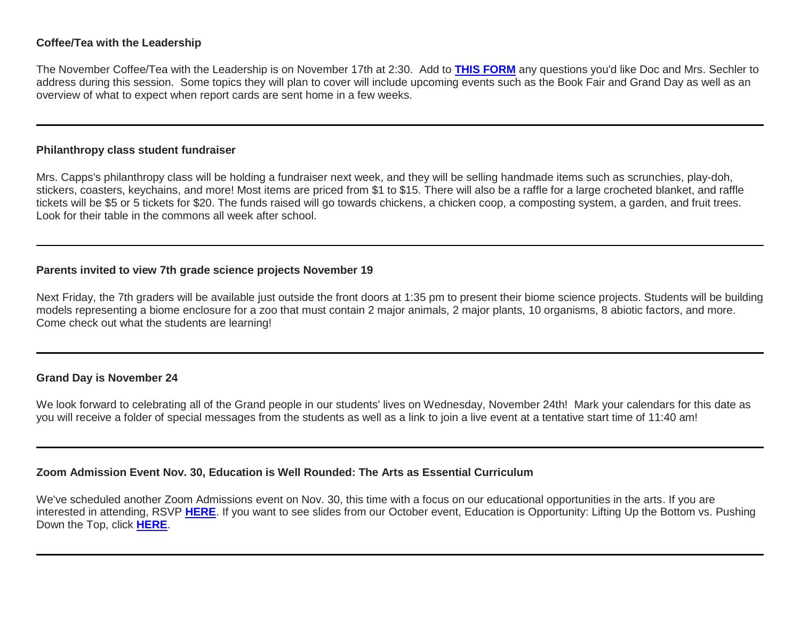## **Coffee/Tea with the Leadership**

The November Coffee/Tea with the Leadership is on November 17th at 2:30. Add to **[THIS FORM](http://link.mystudentsprogress.com/ls/click?upn=VpBe6Z9t6RkEC4qAoQCeri-2FFFh7llDqKppeMq4GAyjRWQxckQw26M-2Bv6Io9sYjjz6W46CCH-2BubvpuVA63wKWOQQJss8C6Vt0wfy2dMmIAlPCF1ws7NpquVMTlBHkjSNyuDXogUCBi9AGWzWqGVwZwg-3D-3DTO2t_1PndbFfBoQGSZbxwXHHEexw3B2F0fG-2BUmuXm6a-2BX-2Bztwvq9teoiT2qaQbXJuHS0LxW8-2Ff4vQxyh0oTwE0cywR0K2FJZ-2F9zObHU7Adt7ZJ8djTjpSi3ZEv9QK-2F9Z23CWtuP2bvyKHFBH0m475RAuazlumjwNsFHGyWw0YI-2BjTMrvvp1eUzTAr72iBHBx4CG-2F9oynQf9OUD7ZYjIaaq551QKY0ap8mFkZkRRcvy0cMuarkK6UxK80J-2F4JV9IO-2Bn9rdW2g2GifAYkiGyY6REJCBdhu7yMn9EVEct9P97PXYzWcWpnrl403kiDtJE-2BIvtIrxiFzyX-2FhPH8S5T9-2FNtXF0Ya4ZkT09x7WefoX3hd-2Ffp9B6da6fqoPuUPqfBUQ4fYlkDp5tJIhs4gBI22OupfN-2B7tY18e1qOYn7WC4sBvxGiz4IsGx2DULzAoJKGWPuupyZ)** any questions you'd like Doc and Mrs. Sechler to address during this session. Some topics they will plan to cover will include upcoming events such as the Book Fair and Grand Day as well as an overview of what to expect when report cards are sent home in a few weeks.

#### **Philanthropy class student fundraiser**

Mrs. Capps's philanthropy class will be holding a fundraiser next week, and they will be selling handmade items such as scrunchies, play-doh, stickers, coasters, keychains, and more! Most items are priced from \$1 to \$15. There will also be a raffle for a large crocheted blanket, and raffle tickets will be \$5 or 5 tickets for \$20. The funds raised will go towards chickens, a chicken coop, a composting system, a garden, and fruit trees. Look for their table in the commons all week after school.

#### **Parents invited to view 7th grade science projects November 19**

Next Friday, the 7th graders will be available just outside the front doors at 1:35 pm to present their biome science projects. Students will be building models representing a biome enclosure for a zoo that must contain 2 major animals, 2 major plants, 10 organisms, 8 abiotic factors, and more. Come check out what the students are learning!

#### **Grand Day is November 24**

We look forward to celebrating all of the Grand people in our students' lives on Wednesday, November 24th! Mark your calendars for this date as you will receive a folder of special messages from the students as well as a link to join a live event at a tentative start time of 11:40 am!

#### **Zoom Admission Event Nov. 30, Education is Well Rounded: The Arts as Essential Curriculum**

We've scheduled another Zoom Admissions event on Nov. 30, this time with a focus on our educational opportunities in the arts. If you are interested in attending, RSVP **[HERE](http://link.mystudentsprogress.com/ls/click?upn=VpBe6Z9t6RkEC4qAoQCeri-2FFFh7llDqKppeMq4GAyjRWQxckQw26M-2Bv6Io9sYjjzUH9Ef9Y6KUfAPlIq06evE7HZyBbxAv-2F5tGiJlU5s3MYb00QTrSExo0SiZwsPhV-2FOC5cQYOeEDhJbBpFIg-2Bhtmw-3D-3DqNWJ_1PndbFfBoQGSZbxwXHHEexw3B2F0fG-2BUmuXm6a-2BX-2Bztwvq9teoiT2qaQbXJuHS0LxW8-2Ff4vQxyh0oTwE0cywR6IGCl70J9mWRMUNdM9cYllMB8L5sw-2FFEaQYH-2F4deQJfkNpleMvLo5qLyUR8NRkqcY6GavtshsN-2BLrJPcpHzKDo1INegGvXKe9GQK77-2B2O4-2FPE56aqG-2FzxR1AAlkfRlR92O7kv8m9TeUGR5mUxiPnvrtvE8pjmibUB8stXcZngXtsP6ZLG7UF-2FITka43YxRPcXn0-2BB7mpkeDIjTnLBYzupodqmcrOIzahzlxSIDrhxlcbTnrYVQwOiAwtmrAAZDt-2B6BD0zGZFFFEj584g4G8ZfX0oq8GppOZSIiydwTq75ahmyTAmPFfnA2dPhaOYRRixPYUebXa9pmIbLwSV7qgVsSMp2e-2FU-2B0VBkLKkxT9d7Aq)**. If you want to see slides from our October event, Education is Opportunity: Lifting Up the Bottom vs. Pushing Down the Top, click **[HERE](http://link.mystudentsprogress.com/ls/click?upn=TUHIw15RkZKA-2BkrQie-2FntaQiAIzyVKoAcjBRQlnVZKd-2BHIYHyC6WBSgp4Ve86SHv8a7wE6eUxxK5iqBVRh3xGMrMA-2BU7w5Vy-2BVkaDvO2T3TJR4bDIs7B9OglrEpEP-2BAcWdtbt-2F4Rjzf4-2FKxYgDzPIOJJFPmlP2sBGSa6BAarMI2nxIl9l9CFXhTYr7xBMJMVqA4p3-2FA7d9xTP1aSDbAttlhTBkygNZHNqe-2FWf-2BA-2FFFWag2Igtz3mkvuQ7Bar7i0CUIYxfewqFt-2FBQNg6zKea3JLW-2FDDy9TUsQD4oNxf8FMAb2KdeE3W9Ff1X2oaVcEU95sXpl9U-2BvFSXEiWkaYfdV9GXBkxs3-2FIqbMFhvkED95wDBjjEmXdp9ozIEEJiNbIkjM2zi1VWZ6JZV8FKwIH4ecYOwW4Ewg-2Fyx1gA9Y2OPjeE8DXPcISZydSxYWjA6njOzIDC-2FajoM8fGZy0UVcukbFORVzid-2B-2B4mKM8CsHCEudNbuVFhPDfoa9edsO4-2FS3Ltkk0COfRygt5D3Xvl8j7GgKVu0-2FRxJ-2F2CsuXATd-2BJ41cyDWyR-2FV-2Fu6aW73P2T3pjpYF-2BXGCrpU18xqDYqnMzwnDMsPMIsJX-2B7K3k6PEaB2fDkcDzS3HuMrBc6ZqV8GCh9lPqS5XAvcl-2BUQvnJUeENsElXaF9YhwcjAAK3mrOMA1GBOud4LQBOD-2FJcZMG748mAy3MPaDnQPxFDLIdidlUEsL3dxYPyIX1uiwXCvStZC8sKkOFON-2BFNOfE-2BuIqoRHhPHwQ-2Fi20kfuCnM-2FojkVSu6yYIWfH4jInJ-2F-2FHC-2B22kd3pM4RrLkijeznuH9tpp7-2B-2FmZshWPf-2BVg28S986JBAW6nTxGmo-2Bf3w-2F3YI-2FXknuOzDWgVI-2FsMSTQ-2BkKzcppYfhvIkko8lQeil0tN3qA0vDo7O8JNRT3FpjPhp46quv2lOYTfuWf7n3rgWabFXaMLqTRNGsEu_1PndbFfBoQGSZbxwXHHEexw3B2F0fG-2BUmuXm6a-2BX-2Bztwvq9teoiT2qaQbXJuHS0LxW8-2Ff4vQxyh0oTwE0cywR-2FWDMzlxYAwqljqf-2BNgqr9KEtfk4h5VP5MbT0q-2FuB53iiaHNTOPWKDQ7PMJAlQNqOrWBqODC5gVym5D7rNaRaDsJBBT-2BuXplTtt48LXiIn3mBSmyqZB6iLKeOLLdWzi27Uzm3PgW8EjwvYKFk36hMGw2XxdCd1xEIREFOhAIZ9aboqINtoWs5GY38yh-2BlmCoHvYAinILJ5TdjXb0WC26ZNH-2BeO8VdjwyOv7VXwc7LDDqJNtU-2FX90p03cWWTlwCh2TFZCfNBZLyVBUGKoy5Xw8XIEkaeI7fg7QivTk7AHpJTVhuYJn-2FJTCPIwumF5EV7pZdl8FVKJwHohpGDYPQ3Q1CdbwZWU1HQGnlf5O-2F4P4H66)**.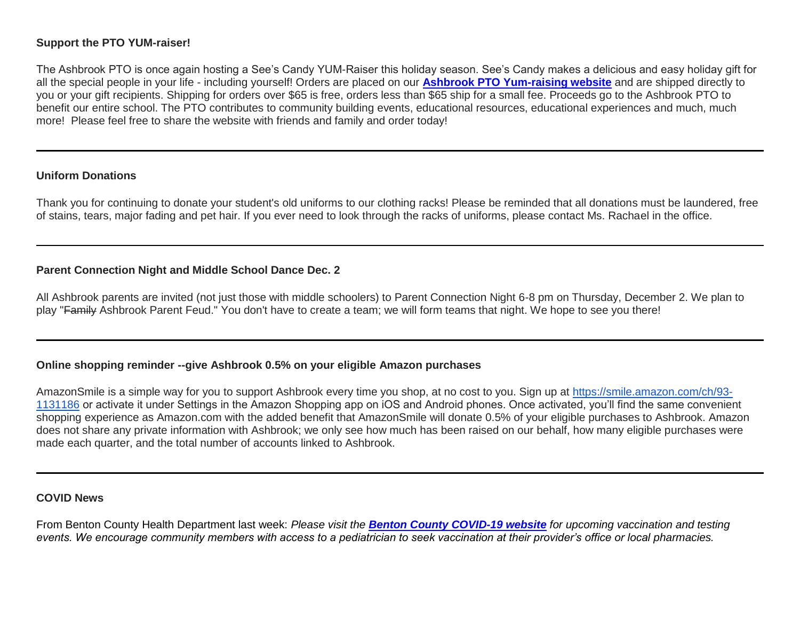## **Support the PTO YUM-raiser!**

The Ashbrook PTO is once again hosting a See's Candy YUM-Raiser this holiday season. See's Candy makes a delicious and easy holiday gift for all the special people in your life - including yourself! Orders are placed on our **[Ashbrook PTO Yum-raising website](http://link.mystudentsprogress.com/ls/click?upn=5XDbAd9r0ovG7GZusFBG8KtxIYBVgZSf-2B8L3soVnBZB8i1itf4VPEot2aI-2FNCYP3iAJjnZ-2BpS-2Fi2tMjlcoktyJCW9A1Vzn5QKvKSkRaDdChpNdXbTK86NgQ7LWkrdpPqrqu7_1PndbFfBoQGSZbxwXHHEexw3B2F0fG-2BUmuXm6a-2BX-2Bztwvq9teoiT2qaQbXJuHS0LxW8-2Ff4vQxyh0oTwE0cywR-2FLVuBhWUGQQhjVb9COZtG073Rf99ed0oybx8TCsjMmg0kC1LCEGq8Kon7zhc46S8Q2jO962ObsiWIJAGGSgariYnT2qn3q2EnkEZlRx4iioYe8Ulp9ZDswBXodbPYSh-2FdUMcbU1FPhmncpyjFitNecLwIAJJ9mVx-2BNlCvCssROxwqfAuAfqh1cGmVCtV2eTuYBZR5rAQFT6Bsr1wUuqLAoOOfkJum0dX5D7j9EJHjp6ExyArMzTZA-2B9cPQGWTJzo-2BSBwa98BiM9qrs9dzdZqEX7ekqJISeaGVWDJpZrlFHmKpzQfbUOjmLjxA8MS-2FjefU0MVLQ2OvkvPVbAtuEOSrbTghykU9TEHvQvmP1HaNb5)** and are shipped directly to you or your gift recipients. Shipping for orders over \$65 is free, orders less than \$65 ship for a small fee. Proceeds go to the Ashbrook PTO to benefit our entire school. The PTO contributes to community building events, educational resources, educational experiences and much, much more! Please feel free to share the website with friends and family and order today!

#### **Uniform Donations**

Thank you for continuing to donate your student's old uniforms to our clothing racks! Please be reminded that all donations must be laundered, free of stains, tears, major fading and pet hair. If you ever need to look through the racks of uniforms, please contact Ms. Rachael in the office.

## **Parent Connection Night and Middle School Dance Dec. 2**

All Ashbrook parents are invited (not just those with middle schoolers) to Parent Connection Night 6-8 pm on Thursday, December 2. We plan to play "Family Ashbrook Parent Feud." You don't have to create a team; we will form teams that night. We hope to see you there!

# **Online shopping reminder --give Ashbrook 0.5% on your eligible Amazon purchases**

AmazonSmile is a simple way for you to support Ashbrook every time you shop, at no cost to you. Sign up at [https://smile.amazon.com/ch/93-](https://smile.amazon.com/ch/93-1131186) [1131186](https://smile.amazon.com/ch/93-1131186) or activate it under Settings in the Amazon Shopping app on iOS and Android phones. Once activated, you'll find the same convenient shopping experience as Amazon.com with the added benefit that AmazonSmile will donate 0.5% of your eligible purchases to Ashbrook. Amazon does not share any private information with Ashbrook; we only see how much has been raised on our behalf, how many eligible purchases were made each quarter, and the total number of accounts linked to Ashbrook.

#### **COVID News**

From Benton County Health Department last week: *Please visit the [Benton County COVID-19 website](http://link.mystudentsprogress.com/ls/click?upn=5XDbAd9r0ovG7GZusFBG8JE-2Fnjda2OnFblLOikg9oQTZBUhgSrNP7TKYcJS95o0yqyuXTtMUOjlY0Qc1XwiN1wTlV-2F5ee1A7e-2F0DV1jyQKqc2vkvpTc0jYwYM9v3XVAEtKqa_1PndbFfBoQGSZbxwXHHEexw3B2F0fG-2BUmuXm6a-2BX-2Bztwvq9teoiT2qaQbXJuHS0LxW8-2Ff4vQxyh0oTwE0cywR65pCuydH-2FophfmNGdAO34oM1hbjLuzhH9yRhH7hiiyn2ABuVslC80Wac7QdhLOY9Klv8nmhA3KGmo-2B4PBxEQAZfEt5Zw30aF5xkLra89KEL3j6INGUadeKF1stQkbCtpb4gdntpzEi3DlKeGyavtGVpG3l-2BkyTVCtDyJd-2FoPcKmnQKIgunDC9heRSj7QwaOeOCAdvUv4RAhl30UDSyRrkIj8AX6ioE0tX2yhu5GyEe31rffY9za1AGxFDiyYitQkrV8i68wJC4Dc3V6Pw7fGWLYx2m4picPkZ8Jjp-2FHBCAYtL-2B-2FfiewjWMwvBVxCqaw6rkn-2By0MKCfz5wDqXoHalSOOoxus2CUnAZSawLWgZOrQ) for upcoming vaccination and testing events. We encourage community members with access to a pediatrician to seek vaccination at their provider's office or local pharmacies.*